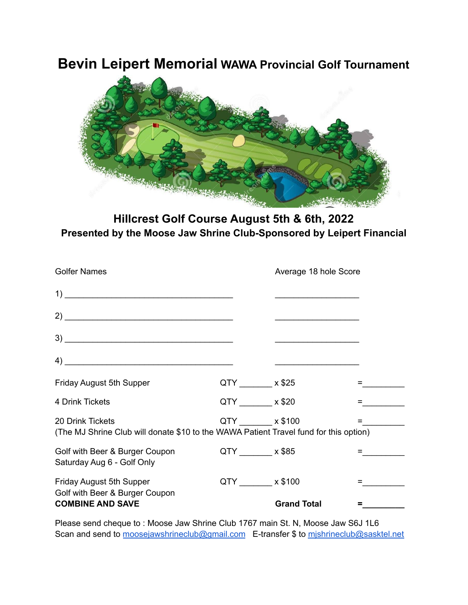# **Bevin Leipert Memorial WAWA Provincial Golf Tournament**



**Hillcrest Golf Course August 5th & 6th, 2022 Presented by the Moose Jaw Shrine Club-Sponsored by Leipert Financial**

| <b>Golfer Names</b>                                                                                       |                     | Average 18 hole Score |  |
|-----------------------------------------------------------------------------------------------------------|---------------------|-----------------------|--|
|                                                                                                           |                     |                       |  |
|                                                                                                           |                     |                       |  |
|                                                                                                           |                     |                       |  |
| $\left( \begin{array}{ccc} 4 \end{array} \right)$                                                         |                     |                       |  |
| <b>Friday August 5th Supper</b>                                                                           | $QTY$ x \$25        |                       |  |
| 4 Drink Tickets                                                                                           | $QTY$ $\times$ \$20 |                       |  |
| 20 Drink Tickets<br>(The MJ Shrine Club will donate \$10 to the WAWA Patient Travel fund for this option) | QTY _______ x \$100 |                       |  |
| Golf with Beer & Burger Coupon<br>Saturday Aug 6 - Golf Only                                              | $QTY$ x \$85        |                       |  |
| Friday August 5th Supper<br>Golf with Beer & Burger Coupon                                                | QTY x \$100         |                       |  |
| <b>COMBINE AND SAVE</b>                                                                                   |                     | <b>Grand Total</b>    |  |

Please send cheque to : Moose Jaw Shrine Club 1767 main St. N, Moose Jaw S6J 1L6 Scan and send to [moosejawshrineclub@gmail.com](mailto:moosejawshrineclub@gmail.com) E-transfer \$ to mishrineclub@sasktel.net